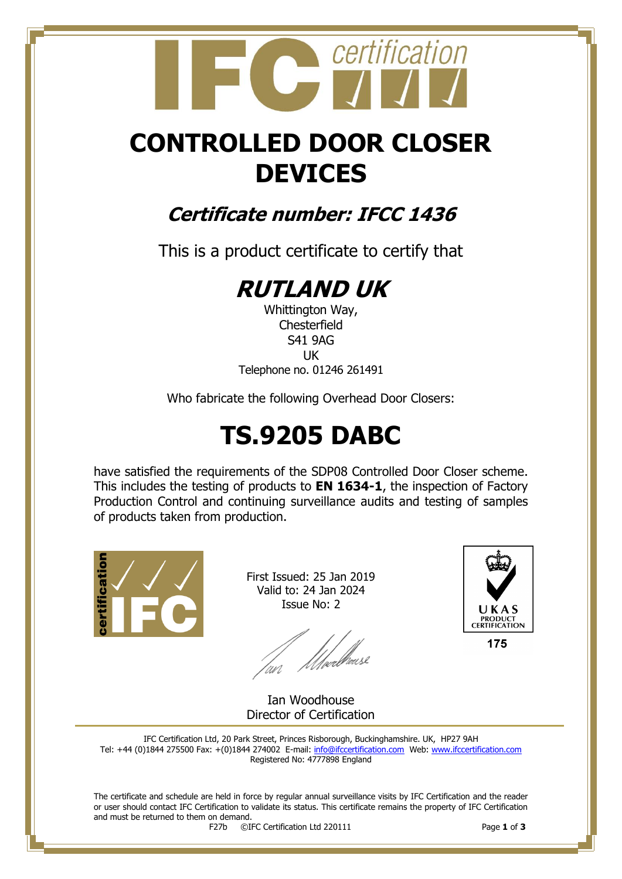## certification

## **CONTROLLED DOOR CLOSER DEVICES**

### **Certificate number: IFCC 1436**

This is a product certificate to certify that

## **RUTLAND UK**

Whittington Way, **Chesterfield** S41 9AG UK Telephone no. 01246 261491

Who fabricate the following Overhead Door Closers:

## **TS.9205 DABC**

have satisfied the requirements of the SDP08 Controlled Door Closer scheme. This includes the testing of products to **EN 1634-1**, the inspection of Factory Production Control and continuing surveillance audits and testing of samples of products taken from production.



First Issued: 25 Jan 2019 Valid to: 24 Jan 2024 Issue No: 2

an Meedhease



175

Ian Woodhouse Director of Certification

IFC Certification Ltd, 20 Park Street, Princes Risborough, Buckinghamshire. UK, HP27 9AH Tel: +44 (0)1844 275500 Fax: +(0)1844 274002 E-mail[: info@ifccertification.com](mailto:info@ifccertification.com) Web: [www.ifccertification.com](http://www.ifccertification.com/) Registered No: 4777898 England

The certificate and schedule are held in force by regular annual surveillance visits by IFC Certification and the reader or user should contact IFC Certification to validate its status. This certificate remains the property of IFC Certification and must be returned to them on demand.<br> $F27b$   $\odot$ I

F27b ©IFC Certification Ltd 220111 Page **1** of **3**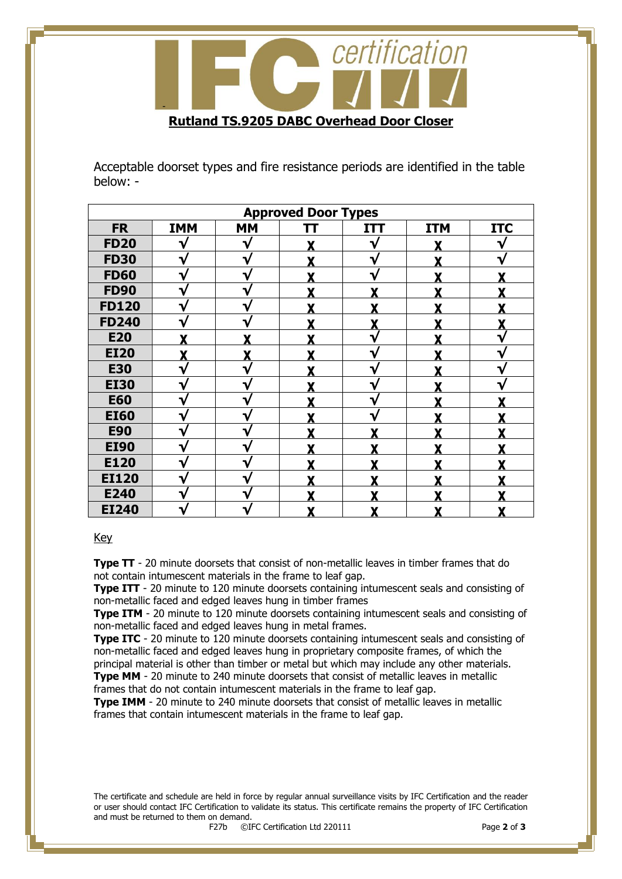

Acceptable doorset types and fire resistance periods are identified in the table below: -

| <b>Approved Door Types</b> |            |              |   |            |            |            |  |
|----------------------------|------------|--------------|---|------------|------------|------------|--|
| <b>FR</b>                  | <b>IMM</b> | <b>MM</b>    | π | <b>ITT</b> | <b>ITM</b> | <b>ITC</b> |  |
| <b>FD20</b>                |            |              |   |            |            |            |  |
| <b>FD30</b>                | ٦.         | ٦            |   | ٦.         |            |            |  |
| <b>FD60</b>                | V          | v            |   | V          |            |            |  |
| <b>FD90</b>                | V          | V            | Y | v          | v          |            |  |
| <b>FD120</b>               | V          | $\mathbf{v}$ | Y | Y          | v          |            |  |
| <b>FD240</b>               |            |              | Y |            | v          |            |  |
| <b>E20</b>                 |            |              |   | ٦ν         |            |            |  |
| <b>EI20</b>                |            | v            |   |            |            |            |  |
| <b>E30</b>                 |            |              |   | ٦.         |            |            |  |
| <b>EI30</b>                |            |              |   |            |            |            |  |
| <b>E60</b>                 | V          |              | v |            | v          |            |  |
| <b>EI60</b>                |            |              | v |            | v          |            |  |
| <b>E90</b>                 | V          |              | v |            |            |            |  |
| <b>EI90</b>                | V          |              |   |            |            |            |  |
| E120                       | V          |              |   |            |            |            |  |
| <b>EI120</b>               | ٦          |              |   |            |            |            |  |
| E240                       |            |              |   |            |            |            |  |
| <b>EI240</b>               |            |              |   |            |            |            |  |

#### Key

**Type TT** - 20 minute doorsets that consist of non-metallic leaves in timber frames that do not contain intumescent materials in the frame to leaf gap.

**Type ITT** - 20 minute to 120 minute doorsets containing intumescent seals and consisting of non-metallic faced and edged leaves hung in timber frames

**Type ITM** - 20 minute to 120 minute doorsets containing intumescent seals and consisting of non-metallic faced and edged leaves hung in metal frames.

**Type ITC** - 20 minute to 120 minute doorsets containing intumescent seals and consisting of non-metallic faced and edged leaves hung in proprietary composite frames, of which the principal material is other than timber or metal but which may include any other materials.

**Type MM** - 20 minute to 240 minute doorsets that consist of metallic leaves in metallic frames that do not contain intumescent materials in the frame to leaf gap.

**Type IMM** - 20 minute to 240 minute doorsets that consist of metallic leaves in metallic frames that contain intumescent materials in the frame to leaf gap.

The certificate and schedule are held in force by regular annual surveillance visits by IFC Certification and the reader or user should contact IFC Certification to validate its status. This certificate remains the property of IFC Certification and must be returned to them on demand.<br> $F27b$   $\odot$ I

F27b ©IFC Certification Ltd 220111 Page **2** of **3**